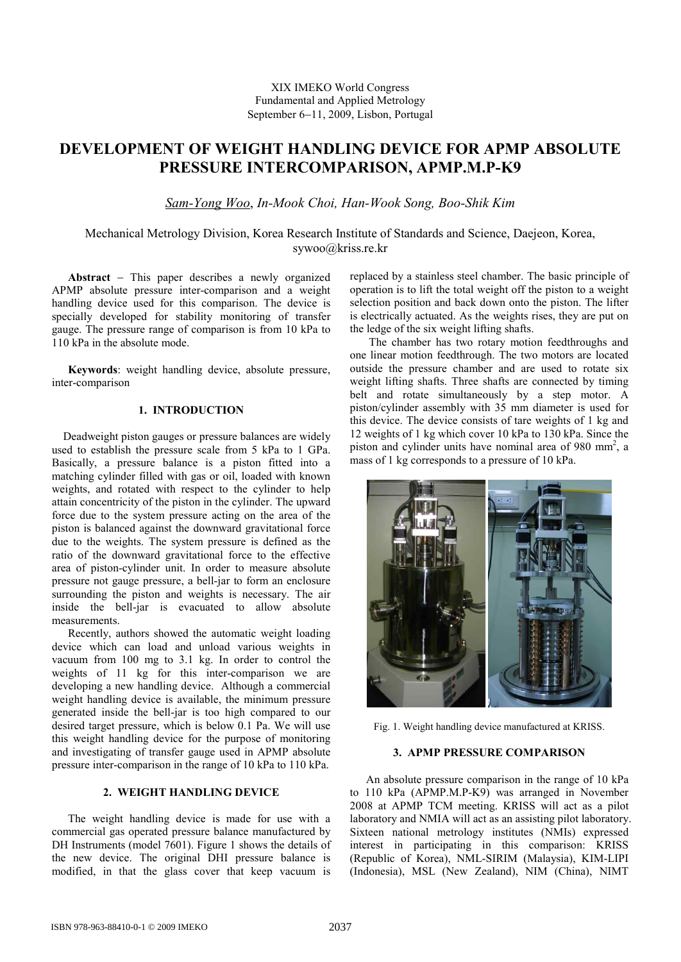XIX IMEKO World Congress Fundamental and Applied Metrology September 6-11, 2009, Lisbon, Portugal

# **DEVELOPMENT OF WEIGHT HANDLING DEVICE FOR APMP ABSOLUTE PRESSURE INTERCOMPARISON, APMP.M.P-K9**

*Sam-Yong Woo*, *In-Mook Choi, Han-Wook Song, Boo-Shik Kim*

Mechanical Metrology Division, Korea Research Institute of Standards and Science, Daejeon, Korea, sywoo@kriss.re.kr

**Abstract** - This paper describes a newly organized APMP absolute pressure inter-comparison and a weight handling device used for this comparison. The device is specially developed for stability monitoring of transfer gauge. The pressure range of comparison is from 10 kPa to 110 kPa in the absolute mode.

**Keywords**: weight handling device, absolute pressure, inter-comparison

## **1. INTRODUCTION**

Deadweight piston gauges or pressure balances are widely used to establish the pressure scale from 5 kPa to 1 GPa. Basically, a pressure balance is a piston fitted into a matching cylinder filled with gas or oil, loaded with known weights, and rotated with respect to the cylinder to help attain concentricity of the piston in the cylinder. The upward force due to the system pressure acting on the area of the piston is balanced against the downward gravitational force due to the weights. The system pressure is defined as the ratio of the downward gravitational force to the effective area of piston-cylinder unit. In order to measure absolute pressure not gauge pressure, a bell-jar to form an enclosure surrounding the piston and weights is necessary. The air inside the bell-jar is evacuated to allow absolute measurements.

Recently, authors showed the automatic weight loading device which can load and unload various weights in vacuum from 100 mg to 3.1 kg. In order to control the weights of 11 kg for this inter-comparison we are developing a new handling device. Although a commercial weight handling device is available, the minimum pressure generated inside the bell-jar is too high compared to our desired target pressure, which is below 0.1 Pa. We will use this weight handling device for the purpose of monitoring and investigating of transfer gauge used in APMP absolute pressure inter-comparison in the range of 10 kPa to 110 kPa.

### **2. WEIGHT HANDLING DEVICE**

The weight handling device is made for use with a commercial gas operated pressure balance manufactured by DH Instruments (model 7601). Figure 1 shows the details of the new device. The original DHI pressure balance is modified, in that the glass cover that keep vacuum is

replaced by a stainless steel chamber. The basic principle of operation is to lift the total weight off the piston to a weight selection position and back down onto the piston. The lifter is electrically actuated. As the weights rises, they are put on the ledge of the six weight lifting shafts.

The chamber has two rotary motion feedthroughs and one linear motion feedthrough. The two motors are located outside the pressure chamber and are used to rotate six weight lifting shafts. Three shafts are connected by timing belt and rotate simultaneously by a step motor. A piston/cylinder assembly with 35 mm diameter is used for this device. The device consists of tare weights of 1 kg and 12 weights of 1 kg which cover 10 kPa to 130 kPa. Since the piston and cylinder units have nominal area of 980 mm<sup>2</sup>, a mass of 1 kg corresponds to a pressure of 10 kPa.



Fig. 1. Weight handling device manufactured at KRISS.

#### **3. APMP PRESSURE COMPARISON**

An absolute pressure comparison in the range of 10 kPa to 110 kPa (APMP.M.P-K9) was arranged in November 2008 at APMP TCM meeting. KRISS will act as a pilot laboratory and NMIA will act as an assisting pilot laboratory. Sixteen national metrology institutes (NMIs) expressed interest in participating in this comparison: KRISS (Republic of Korea), NML-SIRIM (Malaysia), KIM-LIPI (Indonesia), MSL (New Zealand), NIM (China), NIMT